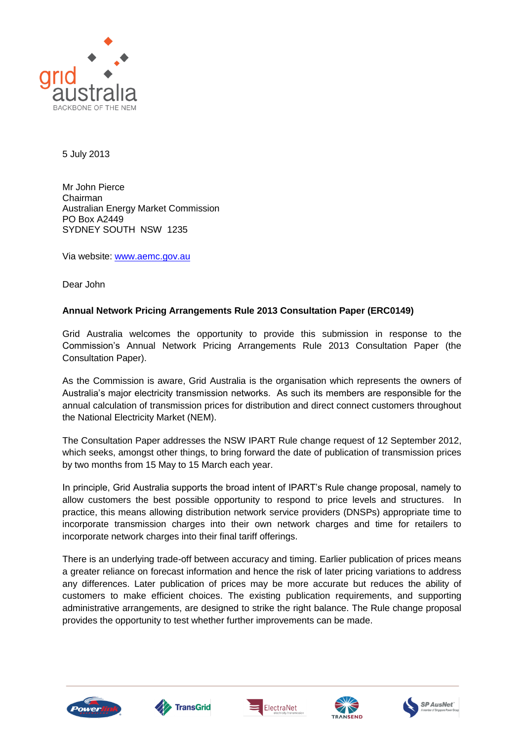

5 July 2013

Mr John Pierce Chairman Australian Energy Market Commission PO Box A2449 SYDNEY SOUTH NSW 1235

Via website: [www.aemc.gov.au](http://www.aemc.gov.au/)

Dear John

# **Annual Network Pricing Arrangements Rule 2013 Consultation Paper (ERC0149)**

Grid Australia welcomes the opportunity to provide this submission in response to the Commission's Annual Network Pricing Arrangements Rule 2013 Consultation Paper (the Consultation Paper).

As the Commission is aware, Grid Australia is the organisation which represents the owners of Australia's major electricity transmission networks. As such its members are responsible for the annual calculation of transmission prices for distribution and direct connect customers throughout the National Electricity Market (NEM).

The Consultation Paper addresses the NSW IPART Rule change request of 12 September 2012, which seeks, amongst other things, to bring forward the date of publication of transmission prices by two months from 15 May to 15 March each year.

In principle, Grid Australia supports the broad intent of IPART's Rule change proposal, namely to allow customers the best possible opportunity to respond to price levels and structures. In practice, this means allowing distribution network service providers (DNSPs) appropriate time to incorporate transmission charges into their own network charges and time for retailers to incorporate network charges into their final tariff offerings.

There is an underlying trade-off between accuracy and timing. Earlier publication of prices means a greater reliance on forecast information and hence the risk of later pricing variations to address any differences. Later publication of prices may be more accurate but reduces the ability of customers to make efficient choices. The existing publication requirements, and supporting administrative arrangements, are designed to strike the right balance. The Rule change proposal provides the opportunity to test whether further improvements can be made.









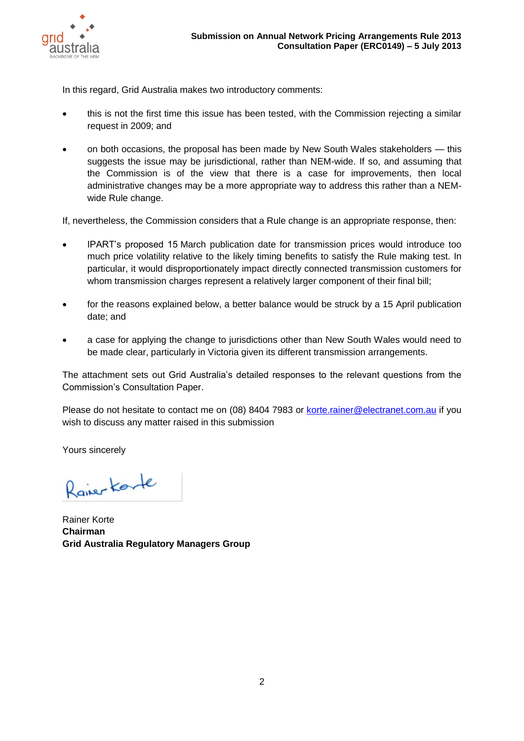

In this regard, Grid Australia makes two introductory comments:

- this is not the first time this issue has been tested, with the Commission rejecting a similar request in 2009; and
- on both occasions, the proposal has been made by New South Wales stakeholders this suggests the issue may be jurisdictional, rather than NEM-wide. If so, and assuming that the Commission is of the view that there is a case for improvements, then local administrative changes may be a more appropriate way to address this rather than a NEMwide Rule change.

If, nevertheless, the Commission considers that a Rule change is an appropriate response, then:

- IPART's proposed 15 March publication date for transmission prices would introduce too much price volatility relative to the likely timing benefits to satisfy the Rule making test. In particular, it would disproportionately impact directly connected transmission customers for whom transmission charges represent a relatively larger component of their final bill;
- for the reasons explained below, a better balance would be struck by a 15 April publication date; and
- a case for applying the change to jurisdictions other than New South Wales would need to be made clear, particularly in Victoria given its different transmission arrangements.

The attachment sets out Grid Australia's detailed responses to the relevant questions from the Commission's Consultation Paper.

Please do not hesitate to contact me on (08) 8404 7983 or [korte.rainer@electranet.com.au](mailto:korte.rainer@electranet.com.au) if you wish to discuss any matter raised in this submission

Yours sincerely

Raiser Korte

Rainer Korte **Chairman Grid Australia Regulatory Managers Group**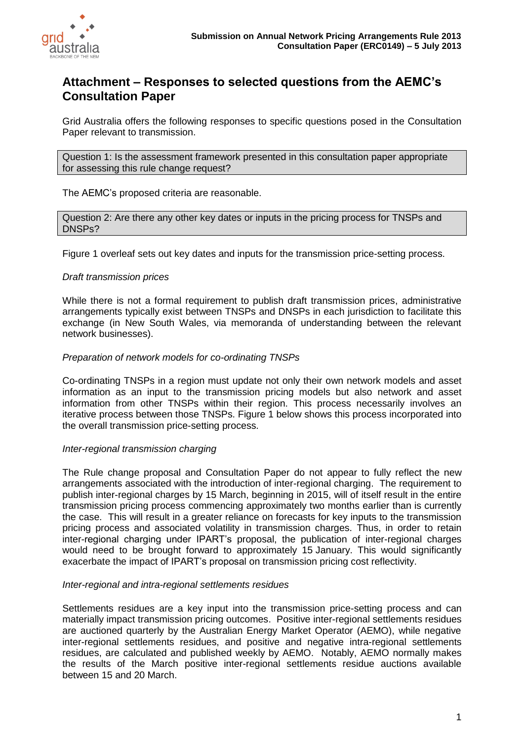

# **Attachment – Responses to selected questions from the AEMC's Consultation Paper**

Grid Australia offers the following responses to specific questions posed in the Consultation Paper relevant to transmission.

Question 1: Is the assessment framework presented in this consultation paper appropriate for assessing this rule change request?

The AEMC's proposed criteria are reasonable.

Question 2: Are there any other key dates or inputs in the pricing process for TNSPs and DNSPs?

Figure 1 overleaf sets out key dates and inputs for the transmission price-setting process.

### *Draft transmission prices*

While there is not a formal requirement to publish draft transmission prices, administrative arrangements typically exist between TNSPs and DNSPs in each jurisdiction to facilitate this exchange (in New South Wales, via memoranda of understanding between the relevant network businesses).

### *Preparation of network models for co-ordinating TNSPs*

Co-ordinating TNSPs in a region must update not only their own network models and asset information as an input to the transmission pricing models but also network and asset information from other TNSPs within their region. This process necessarily involves an iterative process between those TNSPs. Figure 1 below shows this process incorporated into the overall transmission price-setting process.

### *Inter-regional transmission charging*

The Rule change proposal and Consultation Paper do not appear to fully reflect the new arrangements associated with the introduction of inter-regional charging. The requirement to publish inter-regional charges by 15 March, beginning in 2015, will of itself result in the entire transmission pricing process commencing approximately two months earlier than is currently the case. This will result in a greater reliance on forecasts for key inputs to the transmission pricing process and associated volatility in transmission charges. Thus, in order to retain inter-regional charging under IPART's proposal, the publication of inter-regional charges would need to be brought forward to approximately 15 January. This would significantly exacerbate the impact of IPART's proposal on transmission pricing cost reflectivity.

#### *Inter-regional and intra-regional settlements residues*

Settlements residues are a key input into the transmission price-setting process and can materially impact transmission pricing outcomes. Positive inter-regional settlements residues are auctioned quarterly by the Australian Energy Market Operator (AEMO), while negative inter-regional settlements residues, and positive and negative intra-regional settlements residues, are calculated and published weekly by AEMO. Notably, AEMO normally makes the results of the March positive inter-regional settlements residue auctions available between 15 and 20 March.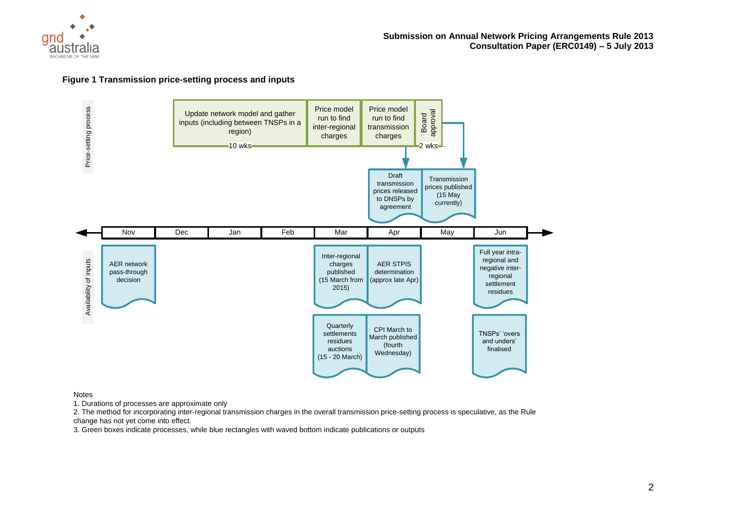

#### **Figure 1 Transmission price-setting process and inputs**



Notes

1. Durations of processes are approximate only

2. The method for incorporating inter-regional transmission charges in the overall transmission price-setting process is speculative, as the Rule change has not yet come into effect.

3. Green boxes indicate processes, while blue rectangles with waved bottom indicate publications or outputs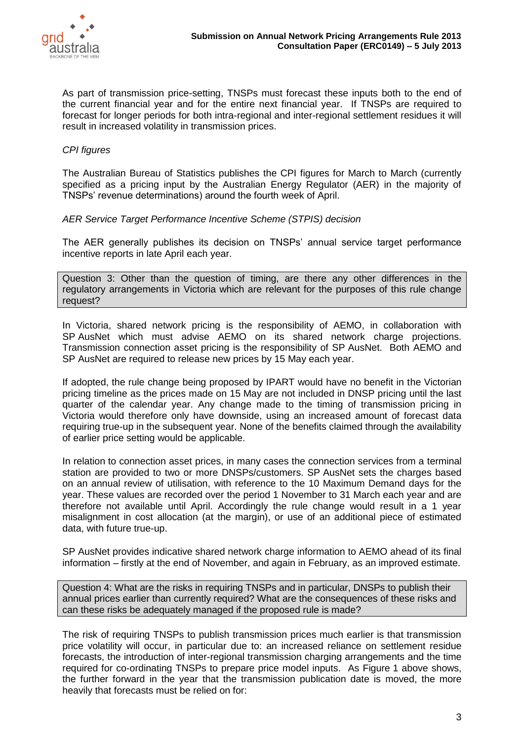

As part of transmission price-setting, TNSPs must forecast these inputs both to the end of the current financial year and for the entire next financial year. If TNSPs are required to forecast for longer periods for both intra-regional and inter-regional settlement residues it will result in increased volatility in transmission prices.

# *CPI figures*

The Australian Bureau of Statistics publishes the CPI figures for March to March (currently specified as a pricing input by the Australian Energy Regulator (AER) in the majority of TNSPs' revenue determinations) around the fourth week of April.

## *AER Service Target Performance Incentive Scheme (STPIS) decision*

The AER generally publishes its decision on TNSPs' annual service target performance incentive reports in late April each year.

Question 3: Other than the question of timing, are there any other differences in the regulatory arrangements in Victoria which are relevant for the purposes of this rule change request?

In Victoria, shared network pricing is the responsibility of AEMO, in collaboration with SP AusNet which must advise AEMO on its shared network charge projections. Transmission connection asset pricing is the responsibility of SP AusNet. Both AEMO and SP AusNet are required to release new prices by 15 May each year.

If adopted, the rule change being proposed by IPART would have no benefit in the Victorian pricing timeline as the prices made on 15 May are not included in DNSP pricing until the last quarter of the calendar year. Any change made to the timing of transmission pricing in Victoria would therefore only have downside, using an increased amount of forecast data requiring true-up in the subsequent year. None of the benefits claimed through the availability of earlier price setting would be applicable.

In relation to connection asset prices, in many cases the connection services from a terminal station are provided to two or more DNSPs/customers. SP AusNet sets the charges based on an annual review of utilisation, with reference to the 10 Maximum Demand days for the year. These values are recorded over the period 1 November to 31 March each year and are therefore not available until April. Accordingly the rule change would result in a 1 year misalignment in cost allocation (at the margin), or use of an additional piece of estimated data, with future true-up.

SP AusNet provides indicative shared network charge information to AEMO ahead of its final information – firstly at the end of November, and again in February, as an improved estimate.

Question 4: What are the risks in requiring TNSPs and in particular, DNSPs to publish their annual prices earlier than currently required? What are the consequences of these risks and can these risks be adequately managed if the proposed rule is made?

The risk of requiring TNSPs to publish transmission prices much earlier is that transmission price volatility will occur, in particular due to: an increased reliance on settlement residue forecasts, the introduction of inter-regional transmission charging arrangements and the time required for co-ordinating TNSPs to prepare price model inputs. As Figure 1 above shows, the further forward in the year that the transmission publication date is moved, the more heavily that forecasts must be relied on for: